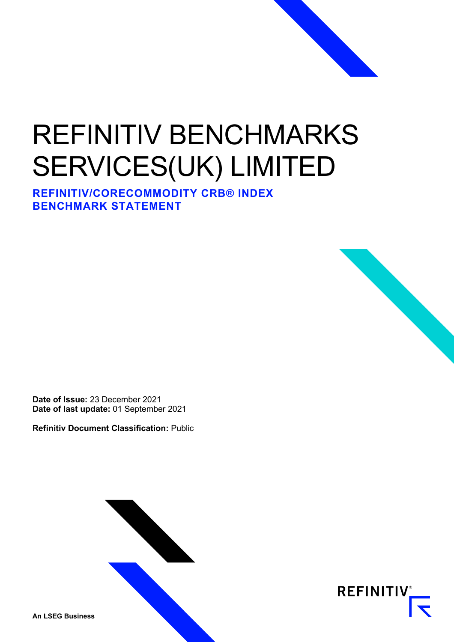# REFINITIV BENCHMARKS SERVICES(UK) LIMITED

**REFINITIV/CORECOMMODITY CRB® INDEX BENCHMARK STATEMENT**



**Refinitiv Document Classification:** Public



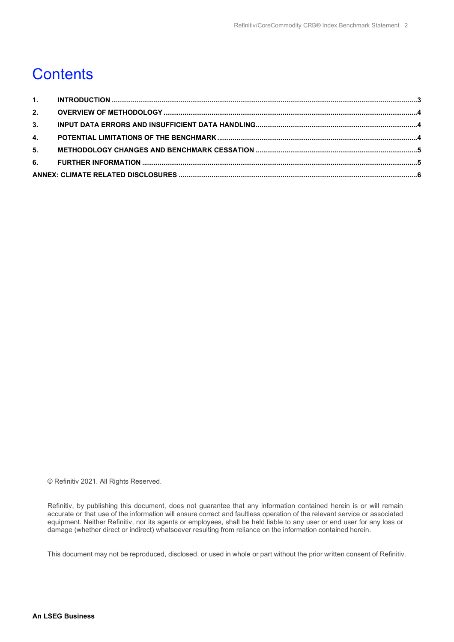#### **Contents**

| 2. |  |  |  |  |  |
|----|--|--|--|--|--|
| 3. |  |  |  |  |  |
|    |  |  |  |  |  |
| 5. |  |  |  |  |  |
|    |  |  |  |  |  |
|    |  |  |  |  |  |

© Refinitiv 2021. All Rights Reserved.

Refinitiv, by publishing this document, does not guarantee that any information contained herein is or will remain accurate or that use of the information will ensure correct and faultless operation of the relevant service or associated equipment. Neither Refinitiv, nor its agents or employees, shall be held liable to any user or end user for any loss or damage (whether direct or indirect) whatsoever resulting from reliance on the information contained herein.

This document may not be reproduced, disclosed, or used in whole or part without the prior written consent of Refinitiv.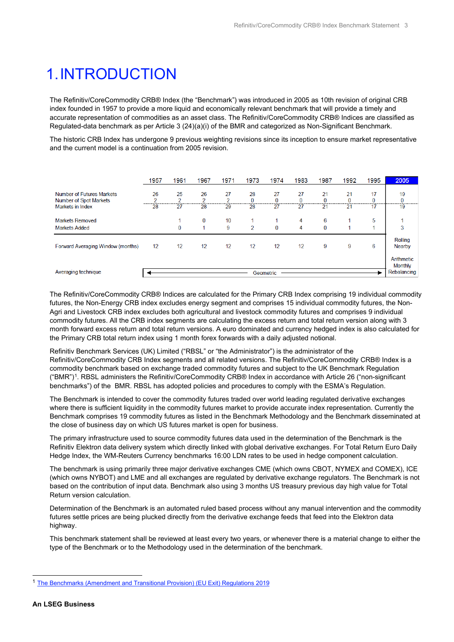## <span id="page-2-0"></span>1.INTRODUCTION

The Refinitiv/CoreCommodity CRB® Index (the "Benchmark") was introduced in 2005 as 10th revision of original CRB index founded in 1957 to provide a more liquid and economically relevant benchmark that will provide a timely and accurate representation of commodities as an asset class. The Refinitiv/CoreCommodity CRB® Indices are classified as Regulated-data benchmark as per Article 3 (24)(a)(i) of the BMR and categorized as Non-Significant Benchmark.

The historic CRB Index has undergone 9 previous weighting revisions since its inception to ensure market representative and the current model is a continuation from 2005 revision.

|                                                     | 1957        | 1961               | 1967     | 1971    | 1973           | 1974     | 1983 | 1987    | 1992    | 1995        | 2005                         |
|-----------------------------------------------------|-------------|--------------------|----------|---------|----------------|----------|------|---------|---------|-------------|------------------------------|
| Number of Futures Markets<br>Number of Spot Markets | 26<br>o<br> | 25<br><sup>o</sup> | 26<br>C  | 27<br>C | 28<br>0        | 27<br>n  | 27   | 21<br>0 | 21<br>0 | 17<br>0     | 19<br>0                      |
| <b>Markets in Index</b>                             | 28          | 27                 | 28       | 29      | 28             | 27       | 27   | 21      | 21      | 17          | 19                           |
| <b>Markets Removed</b>                              |             |                    | $\bf{0}$ | 10      |                |          | 4    | 6       |         | 5           |                              |
| <b>Markets Added</b>                                |             | 0                  |          | 9       | $\overline{2}$ | $\bf{0}$ | 4    | 0       |         | А           | 3                            |
| Forward Averaging Window (months)                   | 12          | 12                 | 12       | 12      | 12             | 12       | 12   | 9       | 9       | 6           | Rolling<br><b>Nearby</b>     |
| Averaging technique                                 |             |                    |          |         |                |          |      |         |         |             | Arithmetic<br><b>Monthly</b> |
|                                                     | Geometric   |                    |          |         |                |          |      |         |         | Rebalancing |                              |

The Refinitiv/CoreCommodity CRB® Indices are calculated for the Primary CRB Index comprising 19 individual commodity futures, the Non-Energy CRB index excludes energy segment and comprises 15 individual commodity futures, the Non-Agri and Livestock CRB index excludes both agricultural and livestock commodity futures and comprises 9 individual commodity futures. All the CRB index segments are calculating the excess return and total return version along with 3 month forward excess return and total return versions. A euro dominated and currency hedged index is also calculated for the Primary CRB total return index using 1 month forex forwards with a daily adjusted notional.

Refinitiv Benchmark Services (UK) Limited ("RBSL" or "the Administrator") is the administrator of the Refinitiv/CoreCommodity CRB Index segments and all related versions. The Refinitiv/CoreCommodity CRB® Index is a commodity benchmark based on exchange traded commodity futures and subject to the UK Benchmark Regulation ("BMR")[1](#page-2-1). RBSL administers the Refinitiv/CoreCommodity CRB® Index in accordance with Article 26 ("non-significant benchmarks") of the BMR. RBSL has adopted policies and procedures to comply with the ESMA's Regulation.

The Benchmark is intended to cover the commodity futures traded over world leading regulated derivative exchanges where there is sufficient liquidity in the commodity futures market to provide accurate index representation. Currently the Benchmark comprises 19 commodity futures as listed in the Benchmark Methodology and the Benchmark disseminated at the close of business day on which US futures market is open for business.

The primary infrastructure used to source commodity futures data used in the determination of the Benchmark is the Refinitiv Elektron data delivery system which directly linked with global derivative exchanges. For Total Return Euro Daily Hedge Index, the WM-Reuters Currency benchmarks 16:00 LDN rates to be used in hedge component calculation.

The benchmark is using primarily three major derivative exchanges CME (which owns CBOT, NYMEX and COMEX), ICE (which owns NYBOT) and LME and all exchanges are regulated by derivative exchange regulators. The Benchmark is not based on the contribution of input data. Benchmark also using 3 months US treasury previous day high value for Total Return version calculation.

Determination of the Benchmark is an automated ruled based process without any manual intervention and the commodity futures settle prices are being plucked directly from the derivative exchange feeds that feed into the Elektron data highway.

This benchmark statement shall be reviewed at least every two years, or whenever there is a material change to either the type of the Benchmark or to the Methodology used in the determination of the benchmark.

<span id="page-2-1"></span><sup>1</sup> [The Benchmarks \(Amendment and Transitional Provision\) \(EU Exit\) Regulations 2019](https://www.legislation.gov.uk/uksi/2019/657/made)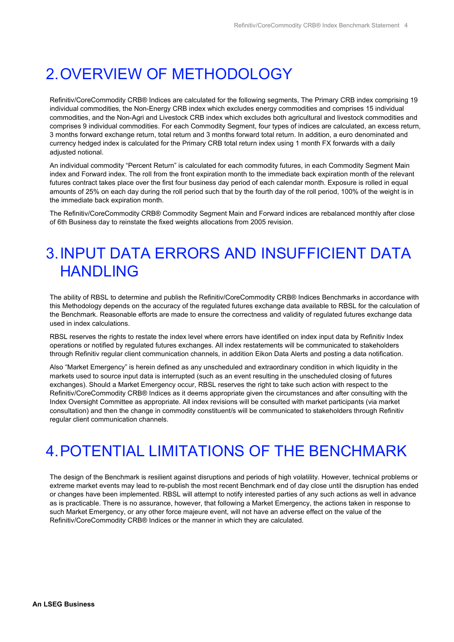#### <span id="page-3-0"></span>2.OVERVIEW OF METHODOLOGY

Refinitiv/CoreCommodity CRB® Indices are calculated for the following segments, The Primary CRB index comprising 19 individual commodities, the Non-Energy CRB index which excludes energy commodities and comprises 15 individual commodities, and the Non-Agri and Livestock CRB index which excludes both agricultural and livestock commodities and comprises 9 individual commodities. For each Commodity Segment, four types of indices are calculated, an excess return, 3 months forward exchange return, total return and 3 months forward total return. In addition, a euro denominated and currency hedged index is calculated for the Primary CRB total return index using 1 month FX forwards with a daily adjusted notional.

An individual commodity "Percent Return" is calculated for each commodity futures, in each Commodity Segment Main index and Forward index. The roll from the front expiration month to the immediate back expiration month of the relevant futures contract takes place over the first four business day period of each calendar month. Exposure is rolled in equal amounts of 25% on each day during the roll period such that by the fourth day of the roll period, 100% of the weight is in the immediate back expiration month.

The Refinitiv/CoreCommodity CRB® Commodity Segment Main and Forward indices are rebalanced monthly after close of 6th Business day to reinstate the fixed weights allocations from 2005 revision.

#### <span id="page-3-1"></span>3.INPUT DATA ERRORS AND INSUFFICIENT DATA HANDLING

The ability of RBSL to determine and publish the Refinitiv/CoreCommodity CRB® Indices Benchmarks in accordance with this Methodology depends on the accuracy of the regulated futures exchange data available to RBSL for the calculation of the Benchmark. Reasonable efforts are made to ensure the correctness and validity of regulated futures exchange data used in index calculations.

RBSL reserves the rights to restate the index level where errors have identified on index input data by Refinitiv Index operations or notified by regulated futures exchanges. All index restatements will be communicated to stakeholders through Refinitiv regular client communication channels, in addition Eikon Data Alerts and posting a data notification.

Also "Market Emergency" is herein defined as any unscheduled and extraordinary condition in which liquidity in the markets used to source input data is interrupted (such as an event resulting in the unscheduled closing of futures exchanges). Should a Market Emergency occur, RBSL reserves the right to take such action with respect to the Refinitiv/CoreCommodity CRB® Indices as it deems appropriate given the circumstances and after consulting with the Index Oversight Committee as appropriate. All index revisions will be consulted with market participants (via market consultation) and then the change in commodity constituent/s will be communicated to stakeholders through Refinitiv regular client communication channels.

# <span id="page-3-2"></span>4.POTENTIAL LIMITATIONS OF THE BENCHMARK

The design of the Benchmark is resilient against disruptions and periods of high volatility. However, technical problems or extreme market events may lead to re-publish the most recent Benchmark end of day close until the disruption has ended or changes have been implemented. RBSL will attempt to notify interested parties of any such actions as well in advance as is practicable. There is no assurance, however, that following a Market Emergency, the actions taken in response to such Market Emergency, or any other force majeure event, will not have an adverse effect on the value of the Refinitiv/CoreCommodity CRB® Indices or the manner in which they are calculated.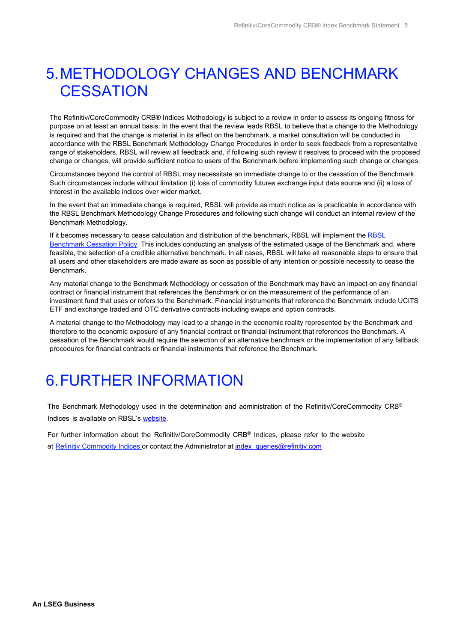## <span id="page-4-0"></span>5.METHODOLOGY CHANGES AND BENCHMARK **CESSATION**

The Refinitiv/CoreCommodity CRB® Indices Methodology is subject to a review in order to assess its ongoing fitness for purpose on at least an annual basis. In the event that the review leads RBSL to believe that a change to the Methodology is required and that the change is material in its effect on the benchmark, a market consultation will be conducted in accordance with the RBSL Benchmark Methodology Change Procedures in order to seek feedback from a representative range of stakeholders. RBSL will review all feedback and, if following such review it resolves to proceed with the proposed change or changes, will provide sufficient notice to users of the Benchmark before implementing such change or changes.

Circumstances beyond the control of RBSL may necessitate an immediate change to or the cessation of the Benchmark. Such circumstances include without limitation (i) loss of commodity futures exchange input data source and (ii) a loss of interest in the available indices over wider market.

In the event that an immediate change is required, RBSL will provide as much notice as is practicable in accordance with the RBSL Benchmark Methodology Change Procedures and following such change will conduct an internal review of the Benchmark Methodology.

If it becomes necessary to cease calculation and distribution of the benchmark, RBSL will implement the [RBSL](https://www.refinitiv.com/content/dam/marketing/en_us/documents/methodology/rbsl-benchmark-methodology-change-cessation-policy.pdf)  [Benchmark Cessation Policy.](https://www.refinitiv.com/content/dam/marketing/en_us/documents/methodology/rbsl-benchmark-methodology-change-cessation-policy.pdf) This includes conducting an analysis of the estimated usage of the Benchmark and, where feasible, the selection of a credible alternative benchmark. In all cases, RBSL will take all reasonable steps to ensure that all users and other stakeholders are made aware as soon as possible of any intention or possible necessity to cease the Benchmark.

Any material change to the Benchmark Methodology or cessation of the Benchmark may have an impact on any financial contract or financial instrument that references the Benchmark or on the measurement of the performance of an investment fund that uses or refers to the Benchmark. Financial instruments that reference the Benchmark include UCITS ETF and exchange traded and OTC derivative contracts including swaps and option contracts.

A material change to the Methodology may lead to a change in the economic reality represented by the Benchmark and therefore to the economic exposure of any financial contract or financial instrument that references the Benchmark. A cessation of the Benchmark would require the selection of an alternative benchmark or the implementation of any fallback procedures for financial contracts or financial instruments that reference the Benchmark.

#### <span id="page-4-1"></span>6.FURTHER INFORMATION

The Benchmark Methodology used in the determination and administration of the Refinitiv/CoreCommodity CRB® Indices is available on RBSL's [website.](https://www.refinitiv.com/content/dam/marketing/en_us/documents/methodology/cc-crb-index-methodology.pdf)

For further information about the Refinitiv/CoreCommodity CRB® Indices, please refer to the website at Refinitiv [Commodity](mailto:Refinitiv%20Commodity%20Indices) Indices or contact the Administrator at index queries@refinitiv.com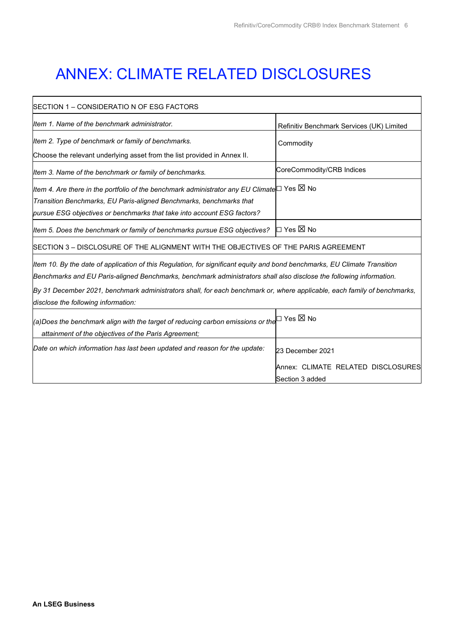٦

Section 3 added

## <span id="page-5-0"></span>ANNEX: CLIMATE RELATED DISCLOSURES

| SECTION 1 – CONSIDERATIO N OF ESG FACTORS                                                                                 |                                           |  |  |  |  |
|---------------------------------------------------------------------------------------------------------------------------|-------------------------------------------|--|--|--|--|
| Item 1. Name of the benchmark administrator.                                                                              | Refinitiv Benchmark Services (UK) Limited |  |  |  |  |
| Item 2. Type of benchmark or family of benchmarks.                                                                        | Commodity                                 |  |  |  |  |
| Choose the relevant underlying asset from the list provided in Annex II.                                                  |                                           |  |  |  |  |
| Item 3. Name of the benchmark or family of benchmarks.                                                                    | CoreCommodity/CRB Indices                 |  |  |  |  |
| Item 4. Are there in the portfolio of the benchmark administrator any EU Climate $□$ Yes $□$ No                           |                                           |  |  |  |  |
| Transition Benchmarks, EU Paris-aligned Benchmarks, benchmarks that                                                       |                                           |  |  |  |  |
| pursue ESG objectives or benchmarks that take into account ESG factors?                                                   |                                           |  |  |  |  |
| Item 5. Does the benchmark or family of benchmarks pursue ESG objectives?                                                 | I⊡ Yes ⊠ No                               |  |  |  |  |
| SECTION 3 - DISCLOSURE OF THE ALIGNMENT WITH THE OBJECTIVES OF THE PARIS AGREEMENT                                        |                                           |  |  |  |  |
| Item 10. By the date of application of this Regulation, for significant equity and bond benchmarks, EU Climate Transition |                                           |  |  |  |  |
| Benchmarks and EU Paris-aligned Benchmarks, benchmark administrators shall also disclose the following information.       |                                           |  |  |  |  |
| By 31 December 2021, benchmark administrators shall, for each benchmark or, where applicable, each family of benchmarks,  |                                           |  |  |  |  |
| disclose the following information:                                                                                       |                                           |  |  |  |  |
| $ $ (a)Does the benchmark align with the target of reducing carbon emissions or the $\Box$ Yes $\boxtimes$ No             |                                           |  |  |  |  |
| attainment of the objectives of the Paris Agreement;                                                                      |                                           |  |  |  |  |
| Date on which information has last been updated and reason for the update:                                                | 23 December 2021                          |  |  |  |  |
|                                                                                                                           | Annex: CLIMATE RELATED DISCLOSURES        |  |  |  |  |

 $\overline{1}$